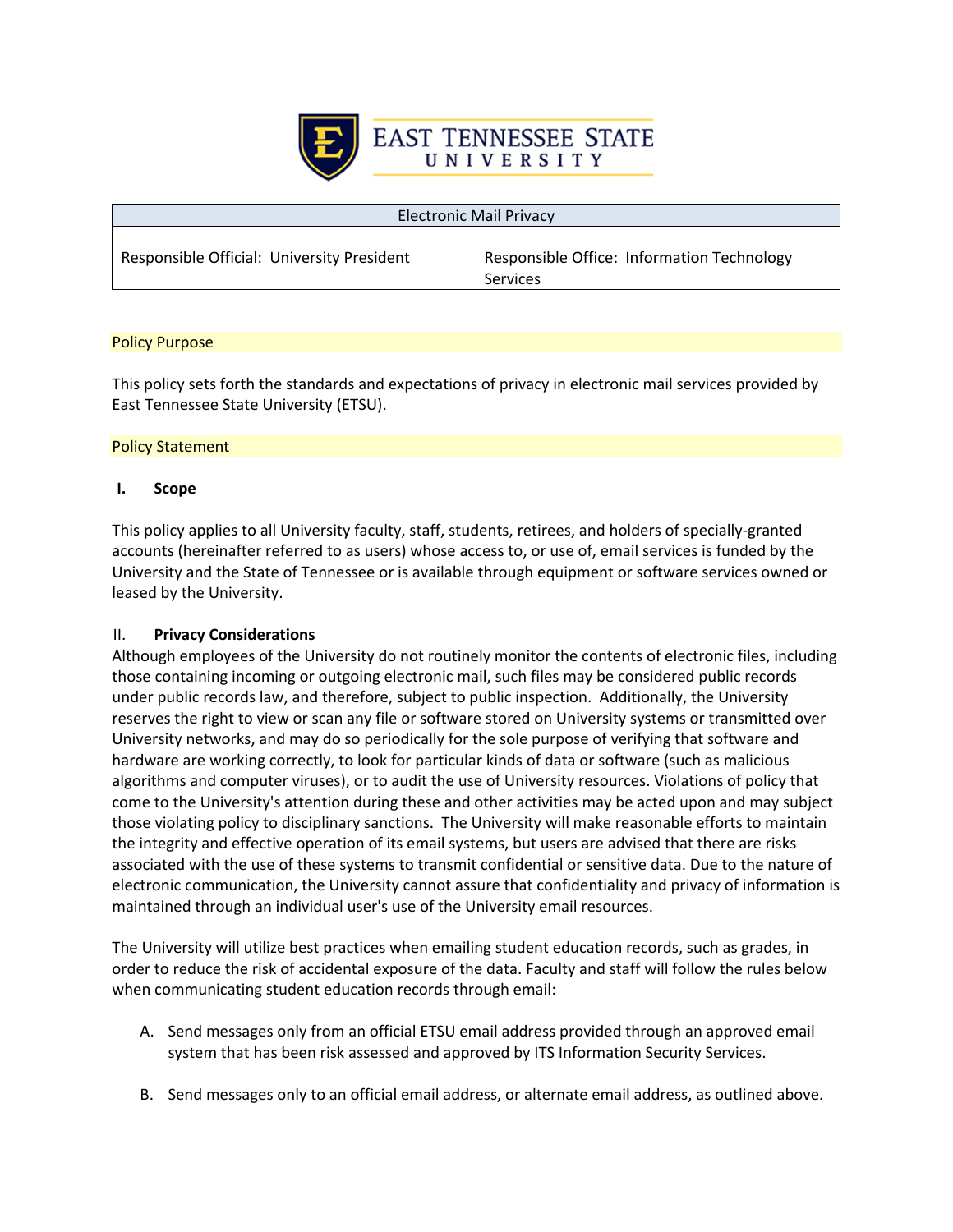

| <b>Electronic Mail Privacy</b>             |                                                        |  |
|--------------------------------------------|--------------------------------------------------------|--|
| Responsible Official: University President | Responsible Office: Information Technology<br>Services |  |

# Policy Purpose

This policy sets forth the standards and expectations of privacy in electronic mail services provided by East Tennessee State University (ETSU).

# Policy Statement

# **I. Scope**

This policy applies to all University faculty, staff, students, retirees, and holders of specially-granted accounts (hereinafter referred to as users) whose access to, or use of, email services is funded by the University and the State of Tennessee or is available through equipment or software services owned or leased by the University.

# II. **Privacy Considerations**

Although employees of the University do not routinely monitor the contents of electronic files, including those containing incoming or outgoing electronic mail, such files may be considered public records under public records law, and therefore, subject to public inspection. Additionally, the University reserves the right to view or scan any file or software stored on University systems or transmitted over University networks, and may do so periodically for the sole purpose of verifying that software and hardware are working correctly, to look for particular kinds of data or software (such as malicious algorithms and computer viruses), or to audit the use of University resources. Violations of policy that come to the University's attention during these and other activities may be acted upon and may subject those violating policy to disciplinary sanctions. The University will make reasonable efforts to maintain the integrity and effective operation of its email systems, but users are advised that there are risks associated with the use of these systems to transmit confidential or sensitive data. Due to the nature of electronic communication, the University cannot assure that confidentiality and privacy of information is maintained through an individual user's use of the University email resources.

The University will utilize best practices when emailing student education records, such as grades, in order to reduce the risk of accidental exposure of the data. Faculty and staff will follow the rules below when communicating student education records through email:

- A. Send messages only from an official ETSU email address provided through an approved email system that has been risk assessed and approved by ITS Information Security Services.
- B. Send messages only to an official email address, or alternate email address, as outlined above.